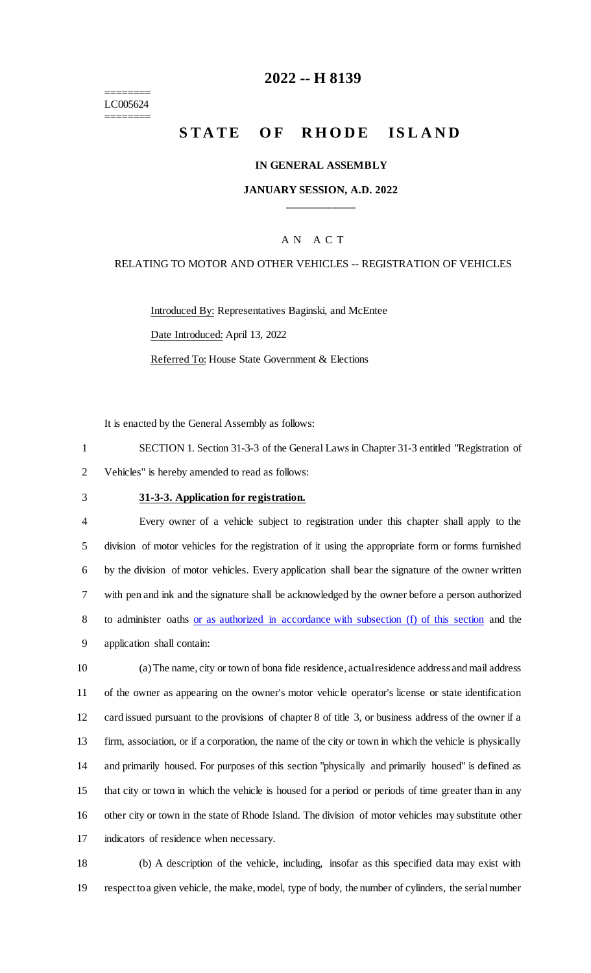======== LC005624 ========

# **-- H 8139**

# **STATE OF RHODE ISLAND**

#### **IN GENERAL ASSEMBLY**

## **JANUARY SESSION, A.D. 2022 \_\_\_\_\_\_\_\_\_\_\_\_**

### A N A C T

### RELATING TO MOTOR AND OTHER VEHICLES -- REGISTRATION OF VEHICLES

Introduced By: Representatives Baginski, and McEntee Date Introduced: April 13, 2022 Referred To: House State Government & Elections

It is enacted by the General Assembly as follows:

 SECTION 1. Section 31-3-3 of the General Laws in Chapter 31-3 entitled "Registration of Vehicles" is hereby amended to read as follows:

#### **31-3-3. Application for registration.**

 Every owner of a vehicle subject to registration under this chapter shall apply to the division of motor vehicles for the registration of it using the appropriate form or forms furnished by the division of motor vehicles. Every application shall bear the signature of the owner written with pen and ink and the signature shall be acknowledged by the owner before a person authorized to administer oaths or as authorized in accordance with subsection (f) of this section and the application shall contain:

 (a) The name, city or town of bona fide residence, actual residence address and mail address of the owner as appearing on the owner's motor vehicle operator's license or state identification card issued pursuant to the provisions of chapter 8 of title 3, or business address of the owner if a firm, association, or if a corporation, the name of the city or town in which the vehicle is physically and primarily housed. For purposes of this section "physically and primarily housed" is defined as that city or town in which the vehicle is housed for a period or periods of time greater than in any other city or town in the state of Rhode Island. The division of motor vehicles may substitute other indicators of residence when necessary.

 (b) A description of the vehicle, including, insofar as this specified data may exist with respect to a given vehicle, the make, model, type of body, the number of cylinders, the serial number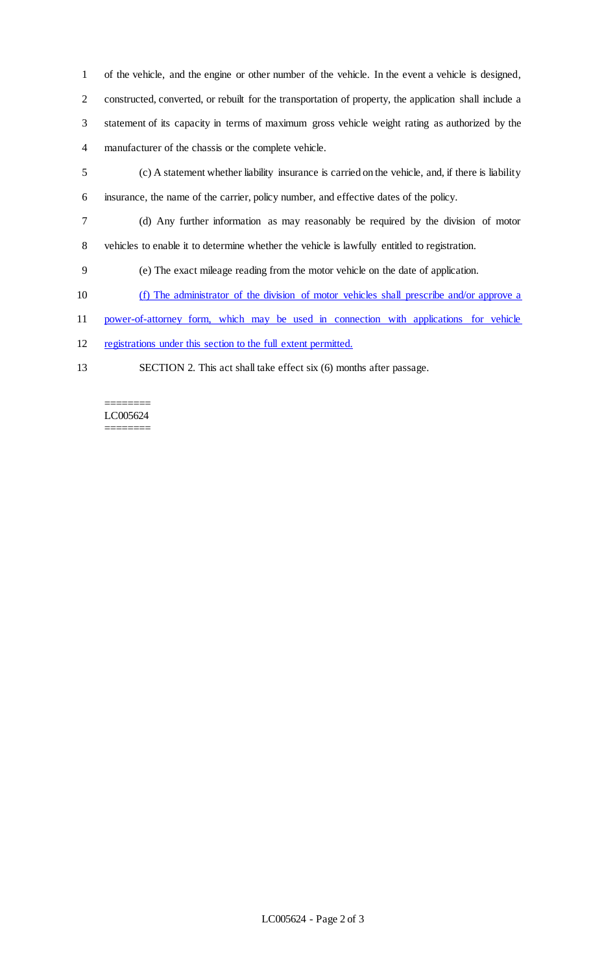of the vehicle, and the engine or other number of the vehicle. In the event a vehicle is designed, constructed, converted, or rebuilt for the transportation of property, the application shall include a statement of its capacity in terms of maximum gross vehicle weight rating as authorized by the manufacturer of the chassis or the complete vehicle.

- (c) A statement whether liability insurance is carried on the vehicle, and, if there is liability insurance, the name of the carrier, policy number, and effective dates of the policy.
- (d) Any further information as may reasonably be required by the division of motor
- vehicles to enable it to determine whether the vehicle is lawfully entitled to registration.
- (e) The exact mileage reading from the motor vehicle on the date of application.
- (f) The administrator of the division of motor vehicles shall prescribe and/or approve a
- power-of-attorney form, which may be used in connection with applications for vehicle
- registrations under this section to the full extent permitted.
- 
- SECTION 2. This act shall take effect six (6) months after passage.

#### ======== LC005624 ========